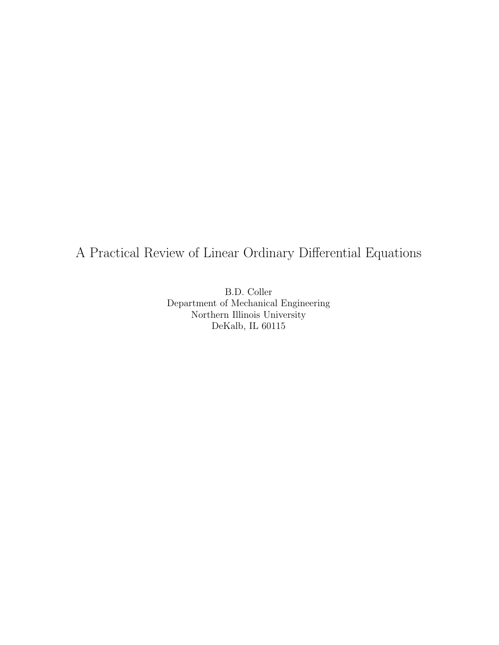# A Practical Review of Linear Ordinary Differential Equations

B.D. Coller<br>Department of Mechanical Engineering Northern Illinois University  $D_0K_2[h]$  II. 60115 DeKalb, IL 60115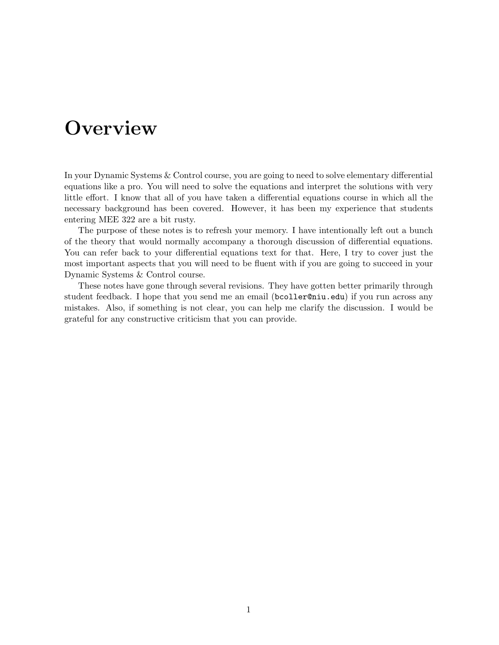# **Overview**

In your Dynamic Systems & Control course, you are going to need to solve elementary differential equations like a pro. You will need to solve the equations and interpret the solutions with very little effort. I know that all of you have taken a differential equations course in which all the necessary background has been covered. However, it has been my experience that students entering MEE 322 are a bit rusty.

The purpose of these notes is to refresh your memory. I have intentionally left out a bunch of the theory that would normally accompany a thorough discussion of differential equations. You can refer back to your differential equations text for that. Here, I try to cover just the most important aspects that you will need to be fluent with if you are going to succeed in your Dynamic Systems & Control course.

These notes have gone through several revisions. They have gotten better primarily through student feedback. I hope that you send me an email (bcoller@niu.edu) if you run across any mistakes. Also, if something is not clear, you can help me clarify the discussion. I would be grateful for any constructive criticism that you can provide.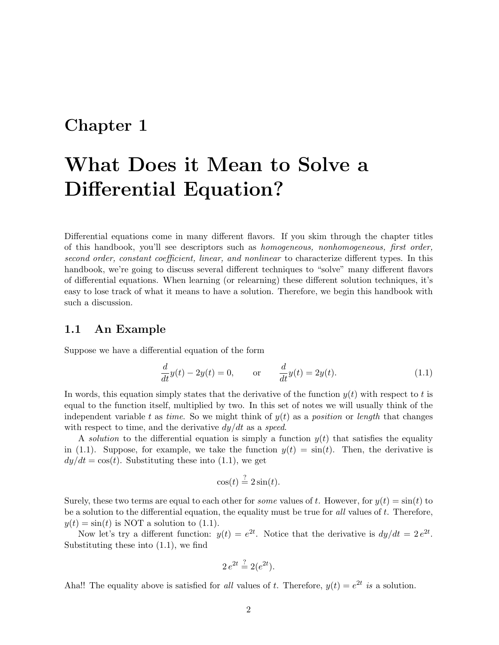## **Chapter 1**

# **What Does it Mean to Solve a Differential Equation?**

Differential equations come in many different flavors. If you skim through the chapter titles of this handbook, you'll see descriptors such as *homogeneous, nonhomogeneous, first order, second order, constant coefficient, linear, and nonlinear* to characterize different types. In this handbook, we're going to discuss several different techniques to "solve" many different flavors of differential equations. When learning (or relearning) these different solution techniques, it's easy to lose track of what it means to have a solution. Therefore, we begin this handbook with such a discussion.

#### **1.1 An Example**

Suppose we have a differential equation of the form

$$
\frac{d}{dt}y(t) - 2y(t) = 0, \qquad \text{or} \qquad \frac{d}{dt}y(t) = 2y(t). \tag{1.1}
$$

In words, this equation simply states that the derivative of the function  $y(t)$  with respect to t is equal to the function itself, multiplied by two. In this set of notes we will usually think of the independent variable t as *time*. So we might think of  $y(t)$  as a *position* or *length* that changes with respect to time, and the derivative dy/dt as a *speed*.

A *solution* to the differential equation is simply a function  $y(t)$  that satisfies the equality in (1.1). Suppose, for example, we take the function  $y(t) = \sin(t)$ . Then, the derivative is  $dy/dt = \cos(t)$ . Substituting these into (1.1), we get

$$
\cos(t) \stackrel{?}{=} 2\sin(t).
$$

Surely, these two terms are equal to each other for *some* values of t. However, for  $y(t) = \sin(t)$  to be a solution to the differential equation, the equality must be true for *all* values of t. Therefore,  $y(t) = \sin(t)$  is NOT a solution to (1.1).

Now let's try a different function:  $y(t) = e^{2t}$ . Notice that the derivative is  $dy/dt = 2e^{2t}$ . Substituting these into (1.1), we find

$$
2e^{2t} \stackrel{?}{=} 2(e^{2t}).
$$

Aha!! The equality above is satisfied for *all* values of t. Therefore,  $y(t) = e^{2t}$  *is* a solution.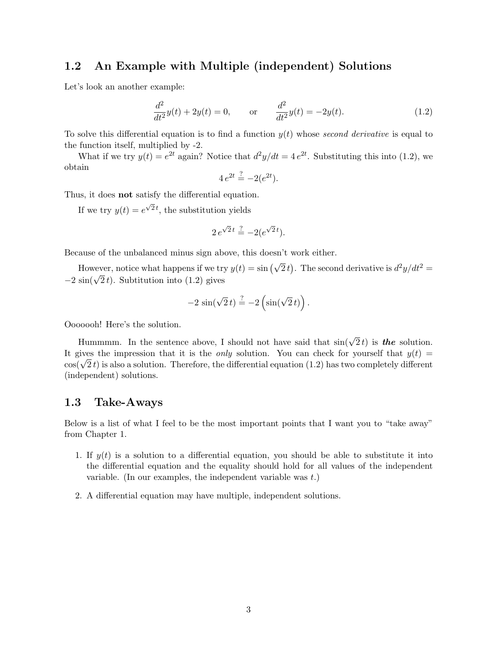## **1.2 An Example with Multiple (independent) Solutions**

Let's look an another example:

$$
\frac{d^2}{dt^2}y(t) + 2y(t) = 0, \qquad \text{or} \qquad \frac{d^2}{dt^2}y(t) = -2y(t). \tag{1.2}
$$

To solve this differential equation is to find a function y(t) whose *second derivative* is equal to the function itself, multiplied by -2.

What if we try  $y(t) = e^{2t}$  again? Notice that  $d^2y/dt = 4e^{2t}$ . Substituting this into (1.2), we obtain

$$
4e^{2t} \stackrel{?}{=} -2(e^{2t}).
$$

Thus, it does **not** satisfy the differential equation.

If we try  $y(t) = e^{\sqrt{2}t}$ , the substitution yields

$$
2e^{\sqrt{2}t} \stackrel{?}{=} -2(e^{\sqrt{2}t}).
$$

Because of the unbalanced minus sign above, this doesn't work either.

However, notice what happens if we try  $y(t) = \sin (\sqrt{2} t)$ . The second derivative is  $d^2y/dt^2 =$  $-2 \sin(\sqrt{2} t)$ . Subtitution into (1.2) gives

$$
-2\,\sin(\sqrt{2}\,t) \stackrel{?}{=} -2\left(\sin(\sqrt{2}\,t)\right).
$$

Ooooooh! Here's the solution.

Hummmm. In the sentence above, I should not have said that  $sin(\sqrt{2} t)$  is **the** solution. It gives the impression that it is the *only* solution. You can check for yourself that  $y(t)$  =  $\cos(\sqrt{2}t)$  is also a solution. Therefore, the differential equation (1.2) has two completely different (independent) solutions.

#### **1.3 Take-Aways**

Below is a list of what I feel to be the most important points that I want you to "take away" from Chapter 1.

- 1. If  $y(t)$  is a solution to a differential equation, you should be able to substitute it into the differential equation and the equality should hold for all values of the independent variable. (In our examples, the independent variable was  $t$ .)
- 2. A differential equation may have multiple, independent solutions.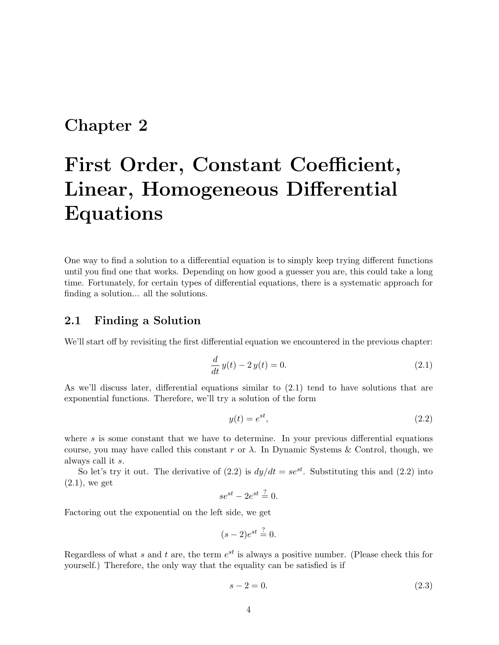# **Chapter 2**

# **First Order, Constant Coefficient, Linear, Homogeneous Differential Equations**

One way to find a solution to a differential equation is to simply keep trying different functions until you find one that works. Depending on how good a guesser you are, this could take a long time. Fortunately, for certain types of differential equations, there is a systematic approach for finding a solution... all the solutions.

### **2.1 Finding a Solution**

We'll start off by revisiting the first differential equation we encountered in the previous chapter:

$$
\frac{d}{dt}y(t) - 2y(t) = 0.
$$
\n(2.1)

As we'll discuss later, differential equations similar to (2.1) tend to have solutions that are exponential functions. Therefore, we'll try a solution of the form

$$
y(t) = e^{st},\tag{2.2}
$$

where  $s$  is some constant that we have to determine. In your previous differential equations course, you may have called this constant r or  $\lambda$ . In Dynamic Systems & Control, though, we always call it s.

So let's try it out. The derivative of (2.2) is  $dy/dt = se^{st}$ . Substituting this and (2.2) into  $(2.1)$ , we get

$$
se^{st} - 2e^{st} \stackrel{?}{=} 0.
$$

Factoring out the exponential on the left side, we get

$$
(s-2)e^{st} \stackrel{?}{=} 0.
$$

Regardless of what s and t are, the term  $e^{st}$  is always a positive number. (Please check this for yourself.) Therefore, the only way that the equality can be satisfied is if

$$
s - 2 = 0.\t(2.3)
$$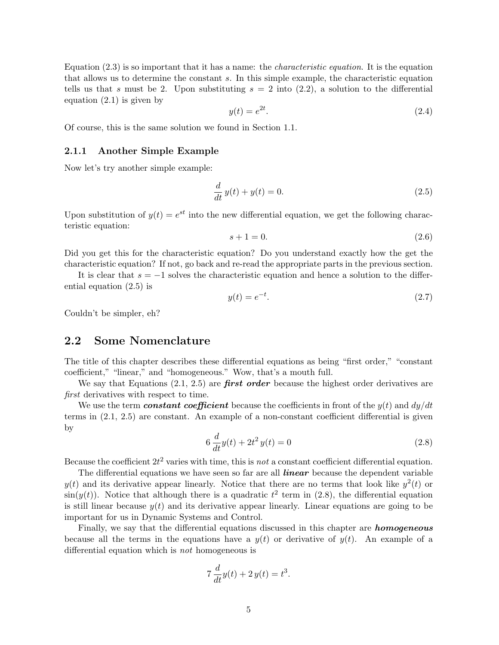Equation (2.3) is so important that it has a name: the *characteristic equation*. It is the equation that allows us to determine the constant s. In this simple example, the characteristic equation tells us that s must be 2. Upon substituting  $s = 2$  into  $(2.2)$ , a solution to the differential equation (2.1) is given by

$$
y(t) = e^{2t}.\tag{2.4}
$$

Of course, this is the same solution we found in Section 1.1.

#### **2.1.1 Another Simple Example**

Now let's try another simple example:

$$
\frac{d}{dt}y(t) + y(t) = 0.\t\t(2.5)
$$

Upon substitution of  $y(t) = e^{st}$  into the new differential equation, we get the following characteristic equation:

$$
s + 1 = 0.\t\t(2.6)
$$

Did you get this for the characteristic equation? Do you understand exactly how the get the characteristic equation? If not, go back and re-read the appropriate parts in the previous section.

It is clear that  $s = -1$  solves the characteristic equation and hence a solution to the differential equation (2.5) is

$$
y(t) = e^{-t}.\tag{2.7}
$$

Couldn't be simpler, eh?

#### **2.2 Some Nomenclature**

The title of this chapter describes these differential equations as being "first order," "constant coefficient," "linear," and "homogeneous." Wow, that's a mouth full.

We say that Equations  $(2.1, 2.5)$  are **first order** because the highest order derivatives are *first* derivatives with respect to time.

We use the term *constant coefficient* because the coefficients in front of the  $y(t)$  and  $dy/dt$ terms in (2.1, 2.5) are constant. An example of a non-constant coefficient differential is given by

$$
6\frac{d}{dt}y(t) + 2t^2y(t) = 0
$$
\n(2.8)

Because the coefficient  $2t^2$  varies with time, this is *not* a constant coefficient differential equation.

The differential equations we have seen so far are all *linear* because the dependent variable  $y(t)$  and its derivative appear linearly. Notice that there are no terms that look like  $y^2(t)$  or  $\sin(y(t))$ . Notice that although there is a quadratic  $t^2$  term in (2.8), the differential equation is still linear because  $y(t)$  and its derivative appear linearly. Linear equations are going to be important for us in Dynamic Systems and Control.

Finally, we say that the differential equations discussed in this chapter are *homogeneous* because all the terms in the equations have a  $y(t)$  or derivative of  $y(t)$ . An example of a differential equation which is *not* homogeneous is

$$
7\frac{d}{dt}y(t) + 2y(t) = t^3.
$$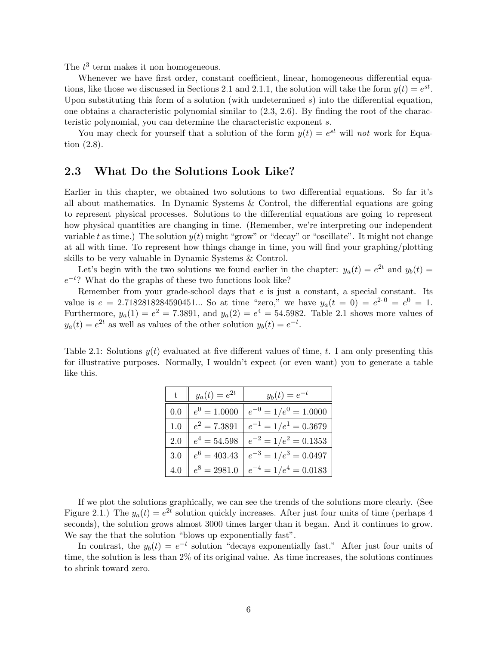The  $t^3$  term makes it non homogeneous.

Whenever we have first order, constant coefficient, linear, homogeneous differential equations, like those we discussed in Sections 2.1 and 2.1.1, the solution will take the form  $y(t) = e^{st}$ . Upon substituting this form of a solution (with undetermined  $s$ ) into the differential equation, one obtains a characteristic polynomial similar to (2.3, 2.6). By finding the root of the characteristic polynomial, you can determine the characteristic exponent s.

You may check for yourself that a solution of the form  $y(t) = e^{st}$  will *not* work for Equation (2.8).

## **2.3 What Do the Solutions Look Like?**

Earlier in this chapter, we obtained two solutions to two differential equations. So far it's all about mathematics. In Dynamic Systems & Control, the differential equations are going to represent physical processes. Solutions to the differential equations are going to represent how physical quantities are changing in time. (Remember, we're interpreting our independent variable t as time.) The solution  $y(t)$  might "grow" or "decay" or "oscillate". It might not change at all with time. To represent how things change in time, you will find your graphing/plotting skills to be very valuable in Dynamic Systems & Control.

Let's begin with the two solutions we found earlier in the chapter:  $y_a(t) = e^{2t}$  and  $y_b(t) =$  $e^{-t}$ ? What do the graphs of these two functions look like?

Remember from your grade-school days that  $e$  is just a constant, a special constant. Its value is  $e = 2.7182818284590451...$  So at time "zero," we have  $y_a(t = 0) = e^{2 \cdot 0} = e^{0} = 1$ . Furthermore,  $y_a(1) = e^2 = 7.3891$ , and  $y_a(2) = e^4 = 54.5982$ . Table 2.1 shows more values of  $y_a(t) = e^{2t}$  as well as values of the other solution  $y_b(t) = e^{-t}$ .

Table 2.1: Solutions  $y(t)$  evaluated at five different values of time, t. I am only presenting this for illustrative purposes. Normally, I wouldn't expect (or even want) you to generate a table like this.

|     | $y_a(t) = e^{2t}$ | $y_b(t) = e^{-t}$           |
|-----|-------------------|-----------------------------|
| 0.0 | $e^0 = 1.0000$    | $e^{-0} = 1/e^{0} = 1.0000$ |
| 1.0 | $e^2 = 7.3891$    | $e^{-1} = 1/e^{1} = 0.3679$ |
| 2.0 | $e^4 = 54.598$    | $e^{-2} = 1/e^2 = 0.1353$   |
| 3.0 | $e^6 = 403.43$    | $e^{-3} = 1/e^{3} = 0.0497$ |
| 4.0 | $e^8 = 2981.0$    | $e^{-4} = 1/e^4 = 0.0183$   |

If we plot the solutions graphically, we can see the trends of the solutions more clearly. (See Figure 2.1.) The  $y_a(t) = e^{2t}$  solution quickly increases. After just four units of time (perhaps 4 seconds), the solution grows almost 3000 times larger than it began. And it continues to grow. We say the that the solution "blows up exponentially fast".

In contrast, the  $y_b(t) = e^{-t}$  solution "decays exponentially fast." After just four units of time, the solution is less than 2% of its original value. As time increases, the solutions continues to shrink toward zero.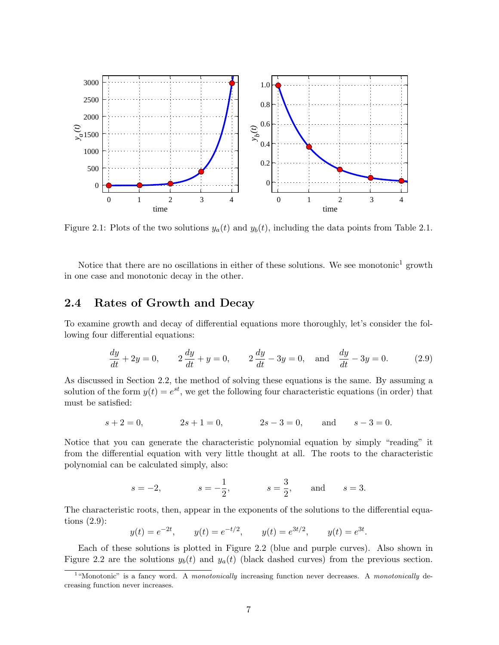

Figure 2.1: Plots of the two solutions  $y_a(t)$  and  $y_b(t)$ , including the data points from Table 2.1.

Notice that there are no oscillations in either of these solutions. We see monotonic<sup>1</sup> growth in one case and monotonic decay in the other.

### **2.4 Rates of Growth and Decay**

To examine growth and decay of differential equations more thoroughly, let's consider the following four differential equations:

$$
\frac{dy}{dt} + 2y = 0, \qquad 2\frac{dy}{dt} + y = 0, \qquad 2\frac{dy}{dt} - 3y = 0, \text{ and } \frac{dy}{dt} - 3y = 0.
$$
 (2.9)

As discussed in Section 2.2, the method of solving these equations is the same. By assuming a solution of the form  $y(t) = e^{st}$ , we get the following four characteristic equations (in order) that must be satisfied:

$$
s + 2 = 0,
$$
  $2s + 1 = 0,$   $2s - 3 = 0,$  and  $s - 3 = 0.$ 

Notice that you can generate the characteristic polynomial equation by simply "reading" it from the differential equation with very little thought at all. The roots to the characteristic polynomial can be calculated simply, also:

$$
s = -2,
$$
  $s = -\frac{1}{2},$   $s = \frac{3}{2},$  and  $s = 3.$ 

The characteristic roots, then, appear in the exponents of the solutions to the differential equations (2.9):

$$
y(t) = e^{-2t}
$$
,  $y(t) = e^{-t/2}$ ,  $y(t) = e^{3t/2}$ ,  $y(t) = e^{3t}$ .

Each of these solutions is plotted in Figure 2.2 (blue and purple curves). Also shown in Figure 2.2 are the solutions  $y_b(t)$  and  $y_a(t)$  (black dashed curves) from the previous section.

<sup>&</sup>lt;sup>1</sup>"Monotonic" is a fancy word. A *monotonically* increasing function never decreases. A *monotonically* decreasing function never increases.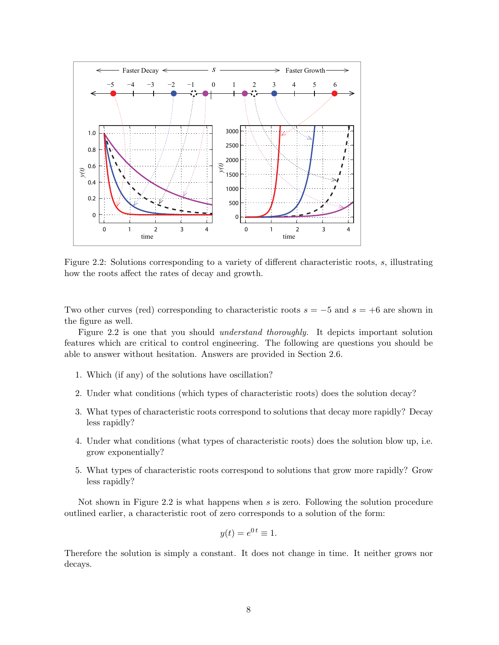

Figure 2.2: Solutions corresponding to a variety of different characteristic roots, s, illustrating how the roots affect the rates of decay and growth.

Two other curves (red) corresponding to characteristic roots  $s = -5$  and  $s = +6$  are shown in the figure as well.

Figure 2.2 is one that you should *understand thoroughly.* It depicts important solution features which are critical to control engineering. The following are questions you should be able to answer without hesitation. Answers are provided in Section 2.6.

- 1. Which (if any) of the solutions have oscillation?
- 2. Under what conditions (which types of characteristic roots) does the solution decay?
- 3. What types of characteristic roots correspond to solutions that decay more rapidly? Decay less rapidly?
- 4. Under what conditions (what types of characteristic roots) does the solution blow up, i.e. grow exponentially?
- 5. What types of characteristic roots correspond to solutions that grow more rapidly? Grow less rapidly?

Not shown in Figure 2.2 is what happens when s is zero. Following the solution procedure outlined earlier, a characteristic root of zero corresponds to a solution of the form:

$$
y(t) = e^{0 \, t} \equiv 1.
$$

Therefore the solution is simply a constant. It does not change in time. It neither grows nor decays.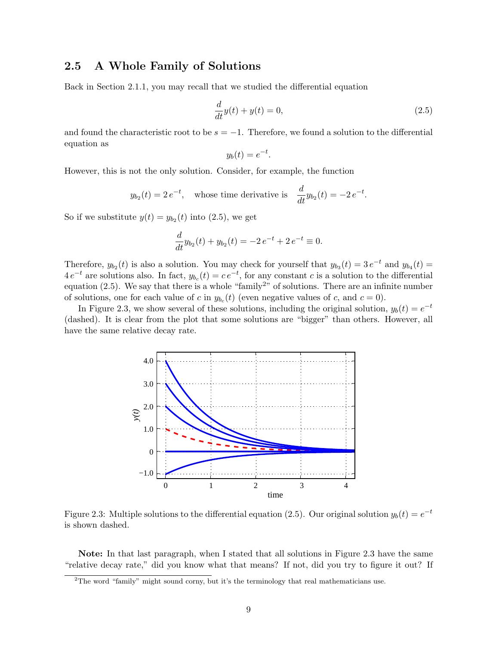## **2.5 A Whole Family of Solutions**

Back in Section 2.1.1, you may recall that we studied the differential equation

$$
\frac{d}{dt}y(t) + y(t) = 0,\t\t(2.5)
$$

and found the characteristic root to be  $s = -1$ . Therefore, we found a solution to the differential equation as .

$$
y_b(t) = e^{-t}
$$

However, this is not the only solution. Consider, for example, the function

$$
y_{b_2}(t) = 2e^{-t}
$$
, whose time derivative is  $\frac{d}{dt}y_{b_2}(t) = -2e^{-t}$ .

So if we substitute  $y(t) = y_{b_2}(t)$  into (2.5), we get

$$
\frac{d}{dt}y_{b_2}(t) + y_{b_2}(t) = -2e^{-t} + 2e^{-t} \equiv 0.
$$

Therefore,  $y_{b_2}(t)$  is also a solution. You may check for yourself that  $y_{b_3}(t)=3 e^{-t}$  and  $y_{b_4}(t) =$  $4 e^{-t}$  are solutions also. In fact,  $y_{b_c}(t) = c e^{-t}$ , for any constant c is a solution to the differential equation (2.5). We say that there is a whole "family<sup>2"</sup> of solutions. There are an infinite number of solutions, one for each value of c in  $y_{b_c}(t)$  (even negative values of c, and  $c = 0$ ).

In Figure 2.3, we show several of these solutions, including the original solution,  $y_b(t) = e^{-t}$ (dashed). It is clear from the plot that some solutions are "bigger" than others. However, all have the same relative decay rate.



Figure 2.3: Multiple solutions to the differential equation (2.5). Our original solution  $y_b(t) = e^{-t}$ is shown dashed.

**Note:** In that last paragraph, when I stated that all solutions in Figure 2.3 have the same "relative decay rate," did you know what that means? If not, did you try to figure it out? If

<sup>&</sup>lt;sup>2</sup>The word "family" might sound corny, but it's the terminology that real mathematicians use.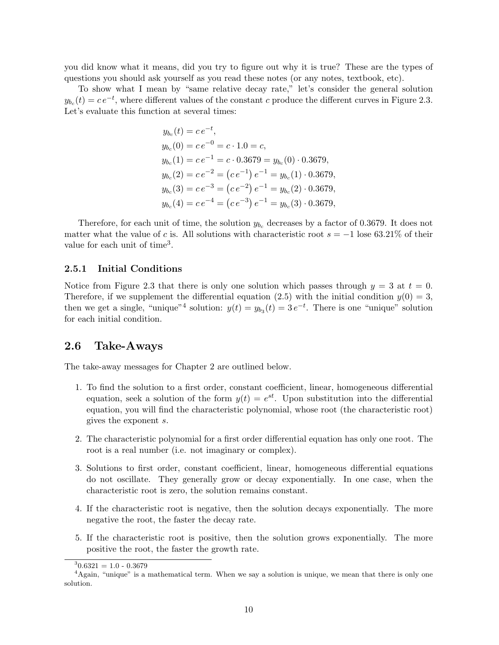you did know what it means, did you try to figure out why it is true? These are the types of questions you should ask yourself as you read these notes (or any notes, textbook, etc).

To show what I mean by "same relative decay rate," let's consider the general solution  $y_{b_c}(t) = c e^{-t}$ , where different values of the constant c produce the different curves in Figure 2.3. Let's evaluate this function at several times:

$$
y_{b_c}(t) = c e^{-t},
$$
  
\n
$$
y_{b_c}(0) = c e^{-0} = c \cdot 1.0 = c,
$$
  
\n
$$
y_{b_c}(1) = c e^{-1} = c \cdot 0.3679 = y_{b_c}(0) \cdot 0.3679,
$$
  
\n
$$
y_{b_c}(2) = c e^{-2} = (c e^{-1}) e^{-1} = y_{b_c}(1) \cdot 0.3679,
$$
  
\n
$$
y_{b_c}(3) = c e^{-3} = (c e^{-2}) e^{-1} = y_{b_c}(2) \cdot 0.3679,
$$
  
\n
$$
y_{b_c}(4) = c e^{-4} = (c e^{-3}) e^{-1} = y_{b_c}(3) \cdot 0.3679,
$$

Therefore, for each unit of time, the solution  $y_{b_c}$  decreases by a factor of 0.3679. It does not matter what the value of c is. All solutions with characteristic root  $s = -1$  lose 63.21% of their value for each unit of time<sup>3</sup>.

#### **2.5.1 Initial Conditions**

Notice from Figure 2.3 that there is only one solution which passes through  $y = 3$  at  $t = 0$ . Therefore, if we supplement the differential equation (2.5) with the initial condition  $y(0) = 3$ , then we get a single, "unique"<sup>4</sup> solution:  $y(t) = y_{b_3}(t) = 3 e^{-t}$ . There is one "unique" solution for each initial condition.

## **2.6 Take-Aways**

The take-away messages for Chapter 2 are outlined below.

- 1. To find the solution to a first order, constant coefficient, linear, homogeneous differential equation, seek a solution of the form  $y(t) = e^{st}$ . Upon substitution into the differential equation, you will find the characteristic polynomial, whose root (the characteristic root) gives the exponent s.
- 2. The characteristic polynomial for a first order differential equation has only one root. The root is a real number (i.e. not imaginary or complex).
- 3. Solutions to first order, constant coefficient, linear, homogeneous differential equations do not oscillate. They generally grow or decay exponentially. In one case, when the characteristic root is zero, the solution remains constant.
- 4. If the characteristic root is negative, then the solution decays exponentially. The more negative the root, the faster the decay rate.
- 5. If the characteristic root is positive, then the solution grows exponentially. The more positive the root, the faster the growth rate.

 $30.6321 = 1.0 - 0.3679$ 

<sup>&</sup>lt;sup>4</sup>Again, "unique" is a mathematical term. When we say a solution is unique, we mean that there is only one solution.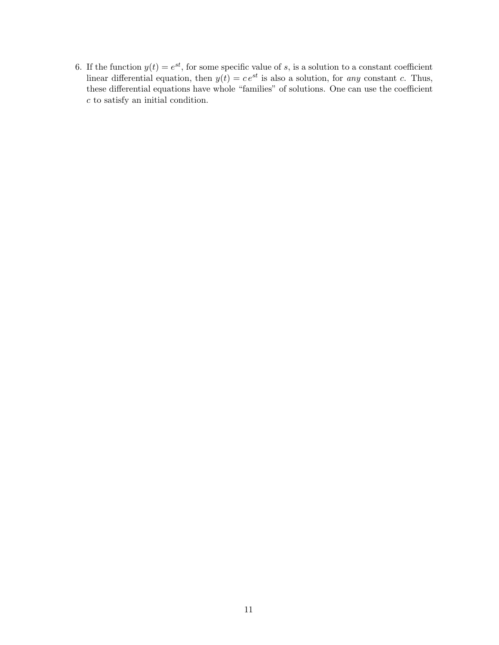6. If the function  $y(t) = e^{st}$ , for some specific value of s, is a solution to a constant coefficient linear differential equation, then  $y(t) = ce^{st}$  is also a solution, for *any* constant c. Thus, these differential equations have whole "families" of solutions. One can use the coefficient c to satisfy an initial condition.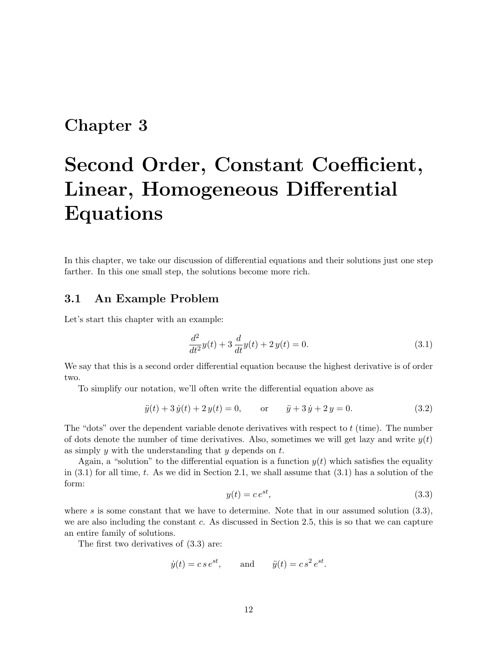# **Chapter 3**

# **Second Order, Constant Coefficient, Linear, Homogeneous Differential Equations**

In this chapter, we take our discussion of differential equations and their solutions just one step farther. In this one small step, the solutions become more rich.

### **3.1 An Example Problem**

Let's start this chapter with an example:

$$
\frac{d^2}{dt^2}y(t) + 3\frac{d}{dt}y(t) + 2y(t) = 0.
$$
\n(3.1)

We say that this is a second order differential equation because the highest derivative is of order two.

To simplify our notation, we'll often write the differential equation above as

$$
\ddot{y}(t) + 3\dot{y}(t) + 2y(t) = 0, \qquad \text{or} \qquad \ddot{y} + 3\dot{y} + 2y = 0. \tag{3.2}
$$

The "dots" over the dependent variable denote derivatives with respect to  $t$  (time). The number of dots denote the number of time derivatives. Also, sometimes we will get lazy and write  $y(t)$ as simply  $y$  with the understanding that  $y$  depends on  $t$ .

Again, a "solution" to the differential equation is a function  $y(t)$  which satisfies the equality in  $(3.1)$  for all time, t. As we did in Section 2.1, we shall assume that  $(3.1)$  has a solution of the form:

$$
y(t) = ce^{st},\tag{3.3}
$$

where s is some constant that we have to determine. Note that in our assumed solution  $(3.3)$ , we are also including the constant c. As discussed in Section 2.5, this is so that we can capture an entire family of solutions.

The first two derivatives of (3.3) are:

$$
\dot{y}(t) = c s e^{st}
$$
, and  $\ddot{y}(t) = c s^2 e^{st}$ .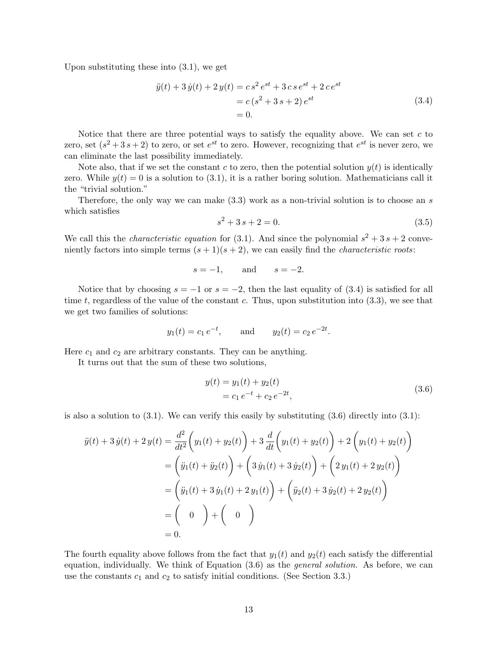Upon substituting these into (3.1), we get

$$
\ddot{y}(t) + 3\dot{y}(t) + 2y(t) = c s^2 e^{st} + 3c s e^{st} + 2c e^{st}
$$
  
= c (s<sup>2</sup> + 3s + 2) e<sup>st</sup>  
= 0. (3.4)

Notice that there are three potential ways to satisfy the equality above. We can set  $c$  to zero, set  $(s^2 + 3s + 2)$  to zero, or set  $e^{st}$  to zero. However, recognizing that  $e^{st}$  is never zero, we can eliminate the last possibility immediately.

Note also, that if we set the constant c to zero, then the potential solution  $y(t)$  is identically zero. While  $y(t) = 0$  is a solution to (3.1), it is a rather boring solution. Mathematicians call it the "trivial solution."

Therefore, the only way we can make  $(3.3)$  work as a non-trivial solution is to choose an s which satisfies

$$
s^2 + 3s + 2 = 0.\t\t(3.5)
$$

We call this the *characteristic equation* for (3.1). And since the polynomial  $s^2 + 3s + 2$  conveniently factors into simple terms  $(s + 1)(s + 2)$ , we can easily find the *characteristic roots*:

$$
s = -1, \qquad \text{and} \qquad s = -2.
$$

Notice that by choosing  $s = -1$  or  $s = -2$ , then the last equality of (3.4) is satisfied for all time t, regardless of the value of the constant c. Thus, upon substitution into  $(3.3)$ , we see that we get two families of solutions:

$$
y_1(t) = c_1 e^{-t}
$$
, and  $y_2(t) = c_2 e^{-2t}$ .

Here  $c_1$  and  $c_2$  are arbitrary constants. They can be anything.

It turns out that the sum of these two solutions,

$$
y(t) = y_1(t) + y_2(t)
$$
  
=  $c_1 e^{-t} + c_2 e^{-2t}$ , (3.6)

is also a solution to  $(3.1)$ . We can verify this easily by substituting  $(3.6)$  directly into  $(3.1)$ :

$$
\ddot{y}(t) + 3 \dot{y}(t) + 2 y(t) = \frac{d^2}{dt^2} \left( y_1(t) + y_2(t) \right) + 3 \frac{d}{dt} \left( y_1(t) + y_2(t) \right) + 2 \left( y_1(t) + y_2(t) \right)
$$
  
\n
$$
= \left( \ddot{y}_1(t) + \ddot{y}_2(t) \right) + \left( 3 \dot{y}_1(t) + 3 \dot{y}_2(t) \right) + \left( 2 y_1(t) + 2 y_2(t) \right)
$$
  
\n
$$
= \left( \ddot{y}_1(t) + 3 \dot{y}_1(t) + 2 y_1(t) \right) + \left( \ddot{y}_2(t) + 3 \dot{y}_2(t) + 2 y_2(t) \right)
$$
  
\n
$$
= \left( 0 \right) + \left( 0 \right)
$$
  
\n
$$
= 0.
$$

The fourth equality above follows from the fact that  $y_1(t)$  and  $y_2(t)$  each satisfy the differential equation, individually. We think of Equation (3.6) as the *general solution.* As before, we can use the constants  $c_1$  and  $c_2$  to satisfy initial conditions. (See Section 3.3.)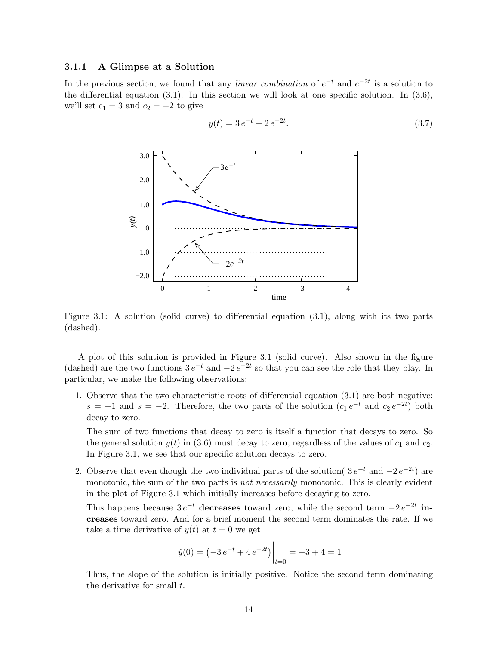#### **3.1.1 A Glimpse at a Solution**

In the previous section, we found that any *linear combination* of  $e^{-t}$  and  $e^{-2t}$  is a solution to the differential equation  $(3.1)$ . In this section we will look at one specific solution. In  $(3.6)$ , we'll set  $c_1 = 3$  and  $c_2 = -2$  to give



$$
y(t) = 3 e^{-t} - 2 e^{-2t}.
$$
\n(3.7)

Figure 3.1: A solution (solid curve) to differential equation (3.1), along with its two parts (dashed).

A plot of this solution is provided in Figure 3.1 (solid curve). Also shown in the figure (dashed) are the two functions  $3e^{-t}$  and  $-2e^{-2t}$  so that you can see the role that they play. In particular, we make the following observations:

1. Observe that the two characteristic roots of differential equation (3.1) are both negative:  $s = -1$  and  $s = -2$ . Therefore, the two parts of the solution  $(c_1 e^{-t}$  and  $c_2 e^{-2t})$  both decay to zero.

The sum of two functions that decay to zero is itself a function that decays to zero. So the general solution  $y(t)$  in (3.6) must decay to zero, regardless of the values of  $c_1$  and  $c_2$ . In Figure 3.1, we see that our specific solution decays to zero.

2. Observe that even though the two individual parts of the solution(  $3 e^{-t}$  and  $-2 e^{-2t}$ ) are monotonic, the sum of the two parts is *not necessarily* monotonic. This is clearly evident in the plot of Figure 3.1 which initially increases before decaying to zero.

This happens because  $3e^{-t}$  decreases toward zero, while the second term  $-2e^{-2t}$  in**creases** toward zero. And for a brief moment the second term dominates the rate. If we take a time derivative of  $y(t)$  at  $t = 0$  we get

$$
\dot{y}(0) = \left(-3e^{-t} + 4e^{-2t}\right)\Big|_{t=0} = -3 + 4 = 1
$$

Thus, the slope of the solution is initially positive. Notice the second term dominating the derivative for small  $t$ .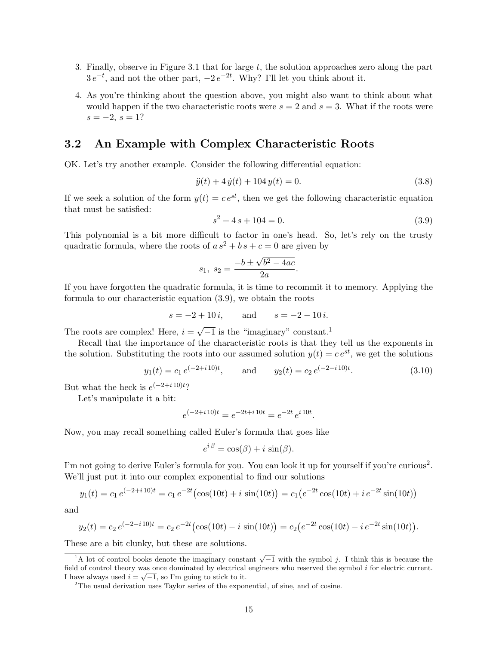- 3. Finally, observe in Figure 3.1 that for large  $t$ , the solution approaches zero along the part  $3 e^{-t}$ , and not the other part,  $-2 e^{-2t}$ . Why? I'll let you think about it.
- 4. As you're thinking about the question above, you might also want to think about what would happen if the two characteristic roots were  $s = 2$  and  $s = 3$ . What if the roots were  $s = -2, s = 1?$

#### **3.2 An Example with Complex Characteristic Roots**

OK. Let's try another example. Consider the following differential equation:

$$
\ddot{y}(t) + 4\,\dot{y}(t) + 104\,y(t) = 0.\tag{3.8}
$$

If we seek a solution of the form  $y(t) = ce^{st}$ , then we get the following characteristic equation that must be satisfied:

$$
s^2 + 4s + 104 = 0.\t(3.9)
$$

This polynomial is a bit more difficult to factor in one's head. So, let's rely on the trusty quadratic formula, where the roots of  $a s^2 + b s + c = 0$  are given by

$$
s_1, s_2 = \frac{-b \pm \sqrt{b^2 - 4ac}}{2a}.
$$

If you have forgotten the quadratic formula, it is time to recommit it to memory. Applying the formula to our characteristic equation (3.9), we obtain the roots

$$
s = -2 + 10 i
$$
, and  $s = -2 - 10 i$ .

The roots are complex! Here,  $i = \sqrt{-1}$  is the "imaginary" constant.<sup>1</sup>

Recall that the importance of the characteristic roots is that they tell us the exponents in the solution. Substituting the roots into our assumed solution  $y(t) = ce^{st}$ , we get the solutions

$$
y_1(t) = c_1 e^{(-2+i10)t}
$$
, and  $y_2(t) = c_2 e^{(-2-i10)t}$ . (3.10)

But what the heck is  $e^{(-2+i10)t}$ ?

Let's manipulate it a bit:

$$
e^{(-2+i10)t} = e^{-2t+i10t} = e^{-2t} e^{i10t}.
$$

Now, you may recall something called Euler's formula that goes like

$$
e^{i\beta} = \cos(\beta) + i\,\sin(\beta).
$$

I'm not going to derive Euler's formula for you. You can look it up for yourself if you're curious2. We'll just put it into our complex exponential to find our solutions

$$
y_1(t) = c_1 e^{(-2+i10)t} = c_1 e^{-2t} (\cos(10t) + i \sin(10t)) = c_1 (e^{-2t} \cos(10t) + i e^{-2t} \sin(10t))
$$

and

$$
y_2(t) = c_2 e^{(-2 - i 10)t} = c_2 e^{-2t} (\cos(10t) - i \sin(10t)) = c_2 (e^{-2t} \cos(10t) - i e^{-2t} \sin(10t)).
$$

These are a bit clunky, but these are solutions.

<sup>&</sup>lt;sup>1</sup>A lot of control books denote the imaginary constant  $\sqrt{-1}$  with the symbol *j*. I think this is because the field of control theory was once dominated by electrical engineers who reserved the symbol *i* for electric current.<br>I have always used  $i = \sqrt{-1}$ , so I'm going to stick to it.

<sup>&</sup>lt;sup>2</sup>The usual derivation uses Taylor series of the exponential, of sine, and of cosine.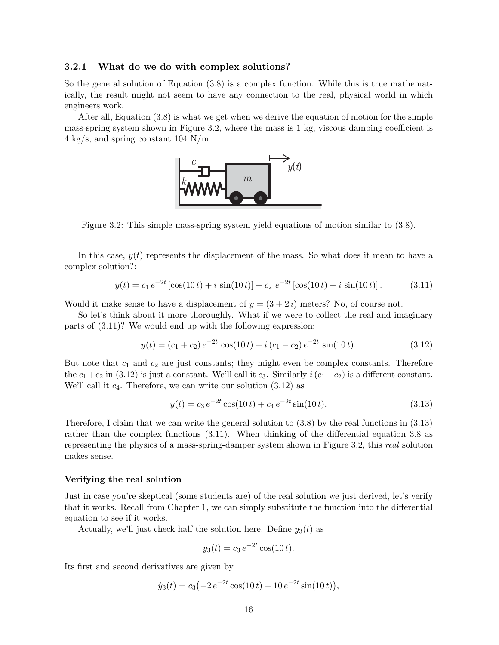#### **3.2.1 What do we do with complex solutions?**

So the general solution of Equation (3.8) is a complex function. While this is true mathematically, the result might not seem to have any connection to the real, physical world in which engineers work.

After all, Equation (3.8) is what we get when we derive the equation of motion for the simple mass-spring system shown in Figure 3.2, where the mass is 1 kg, viscous damping coefficient is 4 kg/s, and spring constant 104 N/m.



Figure 3.2: This simple mass-spring system yield equations of motion similar to (3.8).

In this case,  $y(t)$  represents the displacement of the mass. So what does it mean to have a complex solution?:

$$
y(t) = c_1 e^{-2t} [\cos(10 t) + i \sin(10 t)] + c_2 e^{-2t} [\cos(10 t) - i \sin(10 t)].
$$
 (3.11)

Would it make sense to have a displacement of  $y = (3 + 2i)$  meters? No, of course not.

So let's think about it more thoroughly. What if we were to collect the real and imaginary parts of (3.11)? We would end up with the following expression:

$$
y(t) = (c_1 + c_2) e^{-2t} \cos(10t) + i (c_1 - c_2) e^{-2t} \sin(10t).
$$
 (3.12)

But note that  $c_1$  and  $c_2$  are just constants; they might even be complex constants. Therefore the  $c_1+c_2$  in (3.12) is just a constant. We'll call it  $c_3$ . Similarly  $i(c_1-c_2)$  is a different constant. We'll call it  $c_4$ . Therefore, we can write our solution  $(3.12)$  as

$$
y(t) = c_3 e^{-2t} \cos(10t) + c_4 e^{-2t} \sin(10t).
$$
 (3.13)

Therefore, I claim that we can write the general solution to  $(3.8)$  by the real functions in  $(3.13)$ rather than the complex functions (3.11). When thinking of the differential equation 3.8 as representing the physics of a mass-spring-damper system shown in Figure 3.2, this *real* solution makes sense.

#### **Verifying the real solution**

Just in case you're skeptical (some students are) of the real solution we just derived, let's verify that it works. Recall from Chapter 1, we can simply substitute the function into the differential equation to see if it works.

Actually, we'll just check half the solution here. Define  $y_3(t)$  as

$$
y_3(t) = c_3 e^{-2t} \cos(10 t).
$$

Its first and second derivatives are given by

$$
\dot{y}_3(t) = c_3 \left(-2 e^{-2t} \cos(10 t) - 10 e^{-2t} \sin(10 t)\right),\,
$$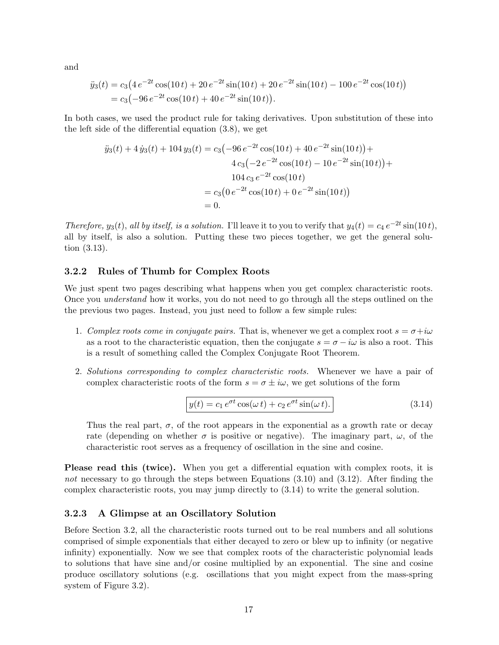and

$$
\ddot{y}_3(t) = c_3 \left( 4 e^{-2t} \cos(10 t) + 20 e^{-2t} \sin(10 t) + 20 e^{-2t} \sin(10 t) - 100 e^{-2t} \cos(10 t) \right)
$$
  
= 
$$
c_3 \left( -96 e^{-2t} \cos(10 t) + 40 e^{-2t} \sin(10 t) \right).
$$

In both cases, we used the product rule for taking derivatives. Upon substitution of these into the left side of the differential equation (3.8), we get

$$
\ddot{y}_3(t) + 4\,\dot{y}_3(t) + 104\,y_3(t) = c_3\left(-96\,e^{-2t}\cos(10\,t) + 40\,e^{-2t}\sin(10\,t)\right) +
$$

$$
4\,c_3\left(-2\,e^{-2t}\cos(10\,t) - 10\,e^{-2t}\sin(10\,t)\right) +
$$

$$
104\,c_3\,e^{-2t}\cos(10\,t)
$$

$$
= c_3\left(0\,e^{-2t}\cos(10\,t) + 0\,e^{-2t}\sin(10\,t)\right)
$$

$$
= 0.
$$

*Therefore,* y<sub>3</sub>(t), all by itself, is a solution. I'll leave it to you to verify that  $y_4(t) = c_4 e^{-2t} \sin(10 t)$ , all by itself, is also a solution. Putting these two pieces together, we get the general solution (3.13).

#### **3.2.2 Rules of Thumb for Complex Roots**

We just spent two pages describing what happens when you get complex characteristic roots. Once you *understand* how it works, you do not need to go through all the steps outlined on the the previous two pages. Instead, you just need to follow a few simple rules:

- 1. *Complex roots come in conjugate pairs.* That is, whenever we get a complex root  $s = \sigma + i\omega$ as a root to the characteristic equation, then the conjugate  $s = \sigma - i\omega$  is also a root. This is a result of something called the Complex Conjugate Root Theorem.
- 2. *Solutions corresponding to complex characteristic roots.* Whenever we have a pair of complex characteristic roots of the form  $s = \sigma \pm i\omega$ , we get solutions of the form

$$
y(t) = c_1 e^{\sigma t} \cos(\omega t) + c_2 e^{\sigma t} \sin(\omega t).
$$
 (3.14)

Thus the real part,  $\sigma$ , of the root appears in the exponential as a growth rate or decay rate (depending on whether  $\sigma$  is positive or negative). The imaginary part,  $\omega$ , of the characteristic root serves as a frequency of oscillation in the sine and cosine.

**Please read this (twice).** When you get a differential equation with complex roots, it is *not* necessary to go through the steps between Equations (3.10) and (3.12). After finding the complex characteristic roots, you may jump directly to (3.14) to write the general solution.

#### **3.2.3 A Glimpse at an Oscillatory Solution**

Before Section 3.2, all the characteristic roots turned out to be real numbers and all solutions comprised of simple exponentials that either decayed to zero or blew up to infinity (or negative infinity) exponentially. Now we see that complex roots of the characteristic polynomial leads to solutions that have sine and/or cosine multiplied by an exponential. The sine and cosine produce oscillatory solutions (e.g. oscillations that you might expect from the mass-spring system of Figure 3.2).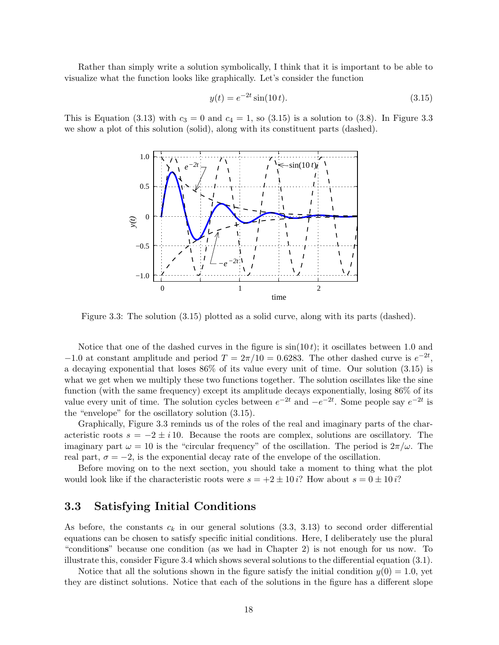Rather than simply write a solution symbolically, I think that it is important to be able to visualize what the function looks like graphically. Let's consider the function

$$
y(t) = e^{-2t} \sin(10t). \tag{3.15}
$$

This is Equation (3.13) with  $c_3 = 0$  and  $c_4 = 1$ , so (3.15) is a solution to (3.8). In Figure 3.3 we show a plot of this solution (solid), along with its constituent parts (dashed).



Figure 3.3: The solution (3.15) plotted as a solid curve, along with its parts (dashed).

Notice that one of the dashed curves in the figure is  $sin(10 t)$ ; it oscillates between 1.0 and  $-1.0$  at constant amplitude and period  $T = 2\pi/10 = 0.6283$ . The other dashed curve is  $e^{-2t}$ , a decaying exponential that loses 86% of its value every unit of time. Our solution (3.15) is what we get when we multiply these two functions together. The solution oscillates like the sine function (with the same frequency) except its amplitude decays exponentially, losing 86% of its value every unit of time. The solution cycles between  $e^{-2t}$  and  $-e^{-2t}$ . Some people say  $e^{-2t}$  is the "envelope" for the oscillatory solution (3.15).

Graphically, Figure 3.3 reminds us of the roles of the real and imaginary parts of the characteristic roots  $s = -2 \pm i 10$ . Because the roots are complex, solutions are oscillatory. The imaginary part  $\omega = 10$  is the "circular frequency" of the oscillation. The period is  $2\pi/\omega$ . The real part,  $\sigma = -2$ , is the exponential decay rate of the envelope of the oscillation.

Before moving on to the next section, you should take a moment to thing what the plot would look like if the characteristic roots were  $s = +2 \pm 10 i$ ? How about  $s = 0 \pm 10 i$ ?

## **3.3 Satisfying Initial Conditions**

As before, the constants  $c_k$  in our general solutions (3.3, 3.13) to second order differential equations can be chosen to satisfy specific initial conditions. Here, I deliberately use the plural "condition**s**" because one condition (as we had in Chapter 2) is not enough for us now. To illustrate this, consider Figure 3.4 which shows several solutions to the differential equation (3.1).

Notice that all the solutions shown in the figure satisfy the initial condition  $y(0) = 1.0$ , yet they are distinct solutions. Notice that each of the solutions in the figure has a different slope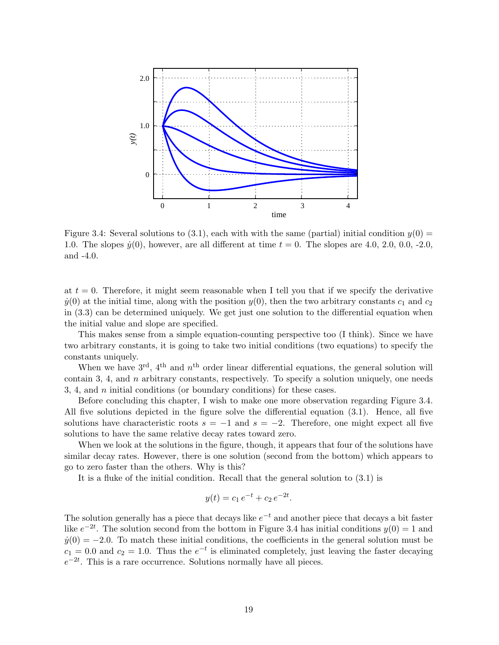

Figure 3.4: Several solutions to (3.1), each with with the same (partial) initial condition  $y(0)$ 1.0. The slopes  $\dot{y}(0)$ , however, are all different at time  $t = 0$ . The slopes are 4.0, 2.0, 0.0, -2.0, and -4.0.

at  $t = 0$ . Therefore, it might seem reasonable when I tell you that if we specify the derivative  $\dot{y}(0)$  at the initial time, along with the position  $y(0)$ , then the two arbitrary constants  $c_1$  and  $c_2$ in (3.3) can be determined uniquely. We get just one solution to the differential equation when the initial value and slope are specified.

This makes sense from a simple equation-counting perspective too (I think). Since we have two arbitrary constants, it is going to take two initial conditions (two equations) to specify the constants uniquely.

When we have  $3<sup>rd</sup>$ ,  $4<sup>th</sup>$  and  $n<sup>th</sup>$  order linear differential equations, the general solution will contain 3, 4, and  $n$  arbitrary constants, respectively. To specify a solution uniquely, one needs 3, 4, and  $n$  initial conditions (or boundary conditions) for these cases.

Before concluding this chapter, I wish to make one more observation regarding Figure 3.4. All five solutions depicted in the figure solve the differential equation (3.1). Hence, all five solutions have characteristic roots  $s = -1$  and  $s = -2$ . Therefore, one might expect all five solutions to have the same relative decay rates toward zero.

When we look at the solutions in the figure, though, it appears that four of the solutions have similar decay rates. However, there is one solution (second from the bottom) which appears to go to zero faster than the others. Why is this?

It is a fluke of the initial condition. Recall that the general solution to (3.1) is

$$
y(t) = c_1 e^{-t} + c_2 e^{-2t}.
$$

The solution generally has a piece that decays like  $e^{-t}$  and another piece that decays a bit faster like  $e^{-2t}$ . The solution second from the bottom in Figure 3.4 has initial conditions  $y(0) = 1$  and  $\dot{y}(0) = -2.0$ . To match these initial conditions, the coefficients in the general solution must be  $c_1 = 0.0$  and  $c_2 = 1.0$ . Thus the  $e^{-t}$  is eliminated completely, just leaving the faster decaying  $e^{-2t}$ . This is a rare occurrence. Solutions normally have all pieces.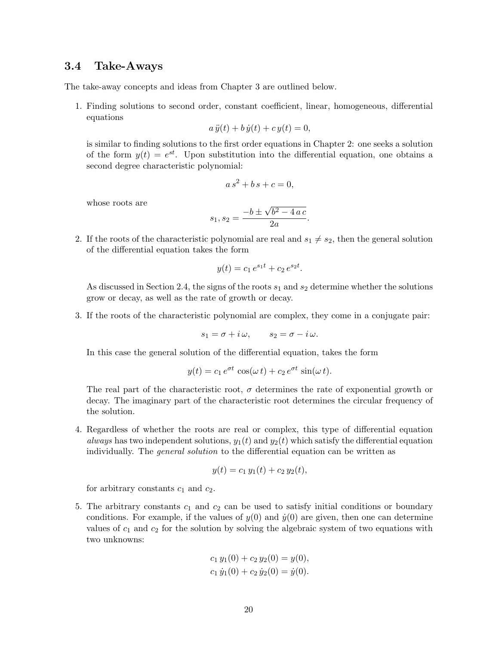### **3.4 Take-Aways**

The take-away concepts and ideas from Chapter 3 are outlined below.

1. Finding solutions to second order, constant coefficient, linear, homogeneous, differential equations

$$
a\,\ddot{y}(t) + b\,\dot{y}(t) + c\,y(t) = 0
$$

is similar to finding solutions to the first order equations in Chapter 2: one seeks a solution of the form  $y(t) = e^{st}$ . Upon substitution into the differential equation, one obtains a second degree characteristic polynomial:

$$
a s^2 + b s + c = 0,
$$

whose roots are

$$
s_1, s_2 = \frac{-b \pm \sqrt{b^2 - 4ac}}{2a}.
$$

2. If the roots of the characteristic polynomial are real and  $s_1 \neq s_2$ , then the general solution of the differential equation takes the form

$$
y(t) = c_1 e^{s_1 t} + c_2 e^{s_2 t}.
$$

As discussed in Section 2.4, the signs of the roots  $s_1$  and  $s_2$  determine whether the solutions grow or decay, as well as the rate of growth or decay.

3. If the roots of the characteristic polynomial are complex, they come in a conjugate pair:

 $s_1 = \sigma + i\omega$ ,  $s_2 = \sigma - i\omega$ .

In this case the general solution of the differential equation, takes the form

$$
y(t) = c_1 e^{\sigma t} \cos(\omega t) + c_2 e^{\sigma t} \sin(\omega t).
$$

The real part of the characteristic root,  $\sigma$  determines the rate of exponential growth or decay. The imaginary part of the characteristic root determines the circular frequency of the solution.

4. Regardless of whether the roots are real or complex, this type of differential equation *always* has two independent solutions,  $y_1(t)$  and  $y_2(t)$  which satisfy the differential equation individually. The *general solution* to the differential equation can be written as

$$
y(t) = c_1 y_1(t) + c_2 y_2(t),
$$

for arbitrary constants  $c_1$  and  $c_2$ .

5. The arbitrary constants  $c_1$  and  $c_2$  can be used to satisfy initial conditions or boundary conditions. For example, if the values of  $y(0)$  and  $\dot{y}(0)$  are given, then one can determine values of  $c_1$  and  $c_2$  for the solution by solving the algebraic system of two equations with two unknowns:

$$
c_1 y_1(0) + c_2 y_2(0) = y(0),
$$
  

$$
c_1 \dot{y}_1(0) + c_2 \dot{y}_2(0) = \dot{y}(0).
$$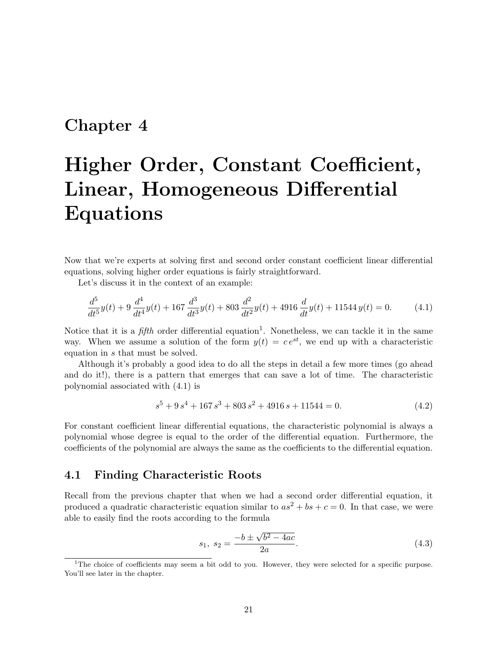## **Chapter 4**

# **Higher Order, Constant Coefficient, Linear, Homogeneous Differential Equations**

Now that we're experts at solving first and second order constant coefficient linear differential equations, solving higher order equations is fairly straightforward.

Let's discuss it in the context of an example:

$$
\frac{d^5}{dt^5}y(t) + 9\frac{d^4}{dt^4}y(t) + 167\frac{d^3}{dt^3}y(t) + 803\frac{d^2}{dt^2}y(t) + 4916\frac{d}{dt}y(t) + 11544y(t) = 0.
$$
 (4.1)

Notice that it is a *fifth* order differential equation<sup>1</sup>. Nonetheless, we can tackle it in the same way. When we assume a solution of the form  $y(t) = ce^{st}$ , we end up with a characteristic equation in s that must be solved.

Although it's probably a good idea to do all the steps in detail a few more times (go ahead and do it!), there is a pattern that emerges that can save a lot of time. The characteristic polynomial associated with (4.1) is

$$
s^5 + 9s^4 + 167s^3 + 803s^2 + 4916s + 11544 = 0.
$$
 (4.2)

For constant coefficient linear differential equations, the characteristic polynomial is always a polynomial whose degree is equal to the order of the differential equation. Furthermore, the coefficients of the polynomial are always the same as the coefficients to the differential equation.

### **4.1 Finding Characteristic Roots**

Recall from the previous chapter that when we had a second order differential equation, it produced a quadratic characteristic equation similar to  $as^2 + bs + c = 0$ . In that case, we were able to easily find the roots according to the formula

$$
s_1, s_2 = \frac{-b \pm \sqrt{b^2 - 4ac}}{2a}.
$$
\n(4.3)

<sup>&</sup>lt;sup>1</sup>The choice of coefficients may seem a bit odd to you. However, they were selected for a specific purpose. You'll see later in the chapter.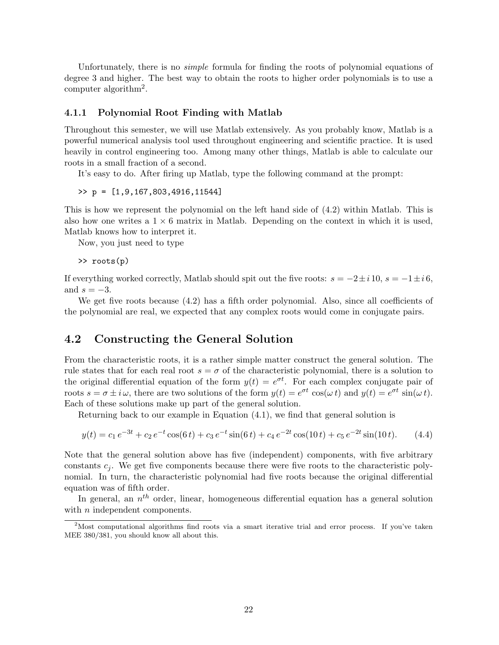Unfortunately, there is no *simple* formula for finding the roots of polynomial equations of degree 3 and higher. The best way to obtain the roots to higher order polynomials is to use a computer algorithm2.

#### **4.1.1 Polynomial Root Finding with Matlab**

Throughout this semester, we will use Matlab extensively. As you probably know, Matlab is a powerful numerical analysis tool used throughout engineering and scientific practice. It is used heavily in control engineering too. Among many other things, Matlab is able to calculate our roots in a small fraction of a second.

It's easy to do. After firing up Matlab, type the following command at the prompt:

>> p = [1,9,167,803,4916,11544]

This is how we represent the polynomial on the left hand side of (4.2) within Matlab. This is also how one writes a  $1 \times 6$  matrix in Matlab. Depending on the context in which it is used, Matlab knows how to interpret it.

Now, you just need to type

>> roots(p)

If everything worked correctly, Matlab should spit out the five roots:  $s = -2 \pm i 10$ ,  $s = -1 \pm i 6$ , and  $s = -3$ .

We get five roots because (4.2) has a fifth order polynomial. Also, since all coefficients of the polynomial are real, we expected that any complex roots would come in conjugate pairs.

### **4.2 Constructing the General Solution**

From the characteristic roots, it is a rather simple matter construct the general solution. The rule states that for each real root  $s = \sigma$  of the characteristic polynomial, there is a solution to the original differential equation of the form  $y(t) = e^{\sigma t}$ . For each complex conjugate pair of roots  $s = \sigma \pm i \omega$ , there are two solutions of the form  $y(t) = e^{\sigma t} \cos(\omega t)$  and  $y(t) = e^{\sigma t} \sin(\omega t)$ . Each of these solutions make up part of the general solution.

Returning back to our example in Equation (4.1), we find that general solution is

$$
y(t) = c_1 e^{-3t} + c_2 e^{-t} \cos(6t) + c_3 e^{-t} \sin(6t) + c_4 e^{-2t} \cos(10t) + c_5 e^{-2t} \sin(10t). \tag{4.4}
$$

Note that the general solution above has five (independent) components, with five arbitrary constants  $c_j$ . We get five components because there were five roots to the characteristic polynomial. In turn, the characteristic polynomial had five roots because the original differential equation was of fifth order.

In general, an  $n^{th}$  order, linear, homogeneous differential equation has a general solution with  $n$  independent components.

<sup>&</sup>lt;sup>2</sup>Most computational algorithms find roots via a smart iterative trial and error process. If you've taken MEE 380/381, you should know all about this.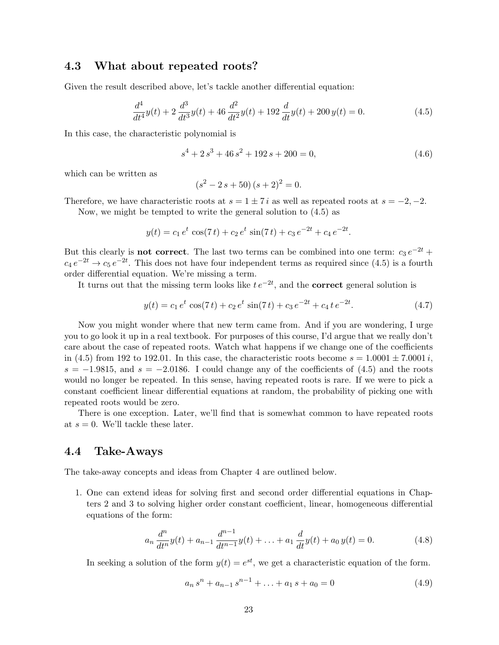### **4.3 What about repeated roots?**

Given the result described above, let's tackle another differential equation:

$$
\frac{d^4}{dt^4}y(t) + 2\frac{d^3}{dt^3}y(t) + 46\frac{d^2}{dt^2}y(t) + 192\frac{d}{dt}y(t) + 200y(t) = 0.
$$
\n(4.5)

In this case, the characteristic polynomial is

$$
s^4 + 2s^3 + 46s^2 + 192s + 200 = 0,\t\t(4.6)
$$

which can be written as

$$
(s2 - 2 s + 50) (s + 2)2 = 0.
$$

Therefore, we have characteristic roots at  $s = 1 \pm 7 i$  as well as repeated roots at  $s = -2, -2$ .

Now, we might be tempted to write the general solution to (4.5) as

$$
y(t) = c_1 e^t \cos(7t) + c_2 e^t \sin(7t) + c_3 e^{-2t} + c_4 e^{-2t}.
$$

But this clearly is **not correct**. The last two terms can be combined into one term:  $c_3 e^{-2t}$  +  $c_4 e^{-2t} \rightarrow c_5 e^{-2t}$ . This does not have four independent terms as required since (4.5) is a fourth order differential equation. We're missing a term.

It turns out that the missing term looks like  $te^{-2t}$ , and the **correct** general solution is

$$
y(t) = c_1 e^t \cos(7t) + c_2 e^t \sin(7t) + c_3 e^{-2t} + c_4 t e^{-2t}.
$$
\n(4.7)

Now you might wonder where that new term came from. And if you are wondering, I urge you to go look it up in a real textbook. For purposes of this course, I'd argue that we really don't care about the case of repeated roots. Watch what happens if we change one of the coefficients in (4.5) from 192 to 192.01. In this case, the characteristic roots become  $s = 1.0001 \pm 7.0001 i$ ,  $s = -1.9815$ , and  $s = -2.0186$ . I could change any of the coefficients of (4.5) and the roots would no longer be repeated. In this sense, having repeated roots is rare. If we were to pick a constant coefficient linear differential equations at random, the probability of picking one with repeated roots would be zero.

There is one exception. Later, we'll find that is somewhat common to have repeated roots at  $s = 0$ . We'll tackle these later.

#### **4.4 Take-Aways**

The take-away concepts and ideas from Chapter 4 are outlined below.

1. One can extend ideas for solving first and second order differential equations in Chapters 2 and 3 to solving higher order constant coefficient, linear, homogeneous differential equations of the form:

$$
a_n \frac{d^n}{dt^n} y(t) + a_{n-1} \frac{d^{n-1}}{dt^{n-1}} y(t) + \ldots + a_1 \frac{d}{dt} y(t) + a_0 y(t) = 0.
$$
 (4.8)

In seeking a solution of the form  $y(t) = e^{st}$ , we get a characteristic equation of the form.

$$
a_n s^n + a_{n-1} s^{n-1} + \ldots + a_1 s + a_0 = 0 \tag{4.9}
$$